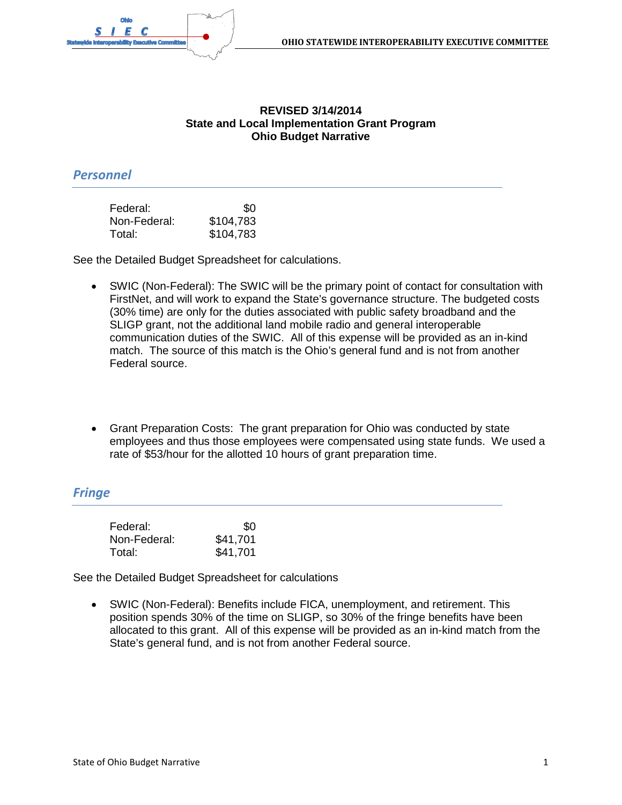

#### **REVISED 3/14/2014 State and Local Implementation Grant Program Ohio Budget Narrative**

#### *Personnel*

| Federal:     | \$0       |
|--------------|-----------|
| Non-Federal: | \$104,783 |
| Total:       | \$104,783 |

See the Detailed Budget Spreadsheet for calculations.

- SWIC (Non-Federal): The SWIC will be the primary point of contact for consultation with FirstNet, and will work to expand the State's governance structure. The budgeted costs (30% time) are only for the duties associated with public safety broadband and the SLIGP grant, not the additional land mobile radio and general interoperable communication duties of the SWIC. All of this expense will be provided as an in-kind match. The source of this match is the Ohio's general fund and is not from another Federal source.
- Grant Preparation Costs: The grant preparation for Ohio was conducted by state employees and thus those employees were compensated using state funds. We used a rate of \$53/hour for the allotted 10 hours of grant preparation time.

#### *Fringe*

| Federal:     | \$0      |
|--------------|----------|
| Non-Federal: | \$41,701 |
| Total:       | \$41,701 |

See the Detailed Budget Spreadsheet for calculations

• SWIC (Non-Federal): Benefits include FICA, unemployment, and retirement. This position spends 30% of the time on SLIGP, so 30% of the fringe benefits have been allocated to this grant. All of this expense will be provided as an in-kind match from the State's general fund, and is not from another Federal source.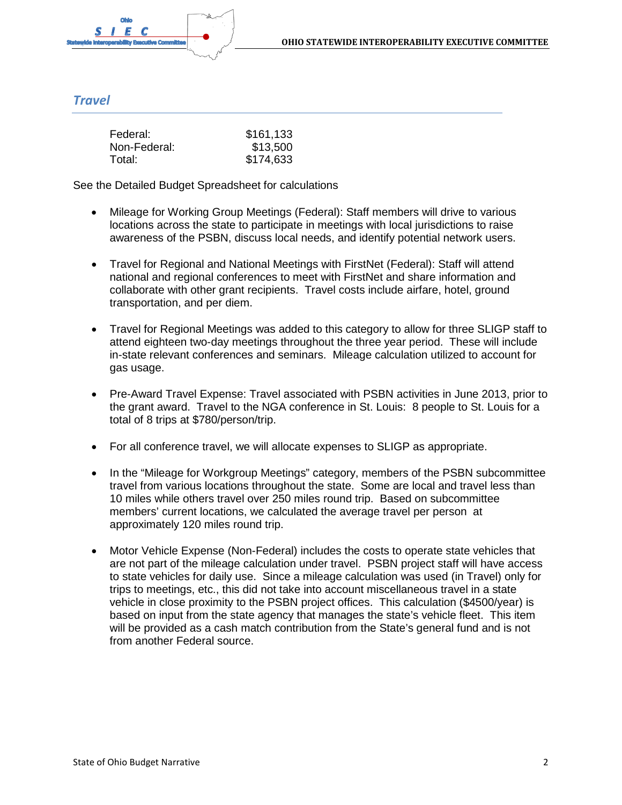## *Travel*

| Federal:     | \$161,133 |
|--------------|-----------|
| Non-Federal: | \$13,500  |
| Total:       | \$174,633 |

See the Detailed Budget Spreadsheet for calculations

- Mileage for Working Group Meetings (Federal): Staff members will drive to various locations across the state to participate in meetings with local jurisdictions to raise awareness of the PSBN, discuss local needs, and identify potential network users.
- Travel for Regional and National Meetings with FirstNet (Federal): Staff will attend national and regional conferences to meet with FirstNet and share information and collaborate with other grant recipients. Travel costs include airfare, hotel, ground transportation, and per diem.
- Travel for Regional Meetings was added to this category to allow for three SLIGP staff to attend eighteen two-day meetings throughout the three year period. These will include in-state relevant conferences and seminars. Mileage calculation utilized to account for gas usage.
- Pre-Award Travel Expense: Travel associated with PSBN activities in June 2013, prior to the grant award. Travel to the NGA conference in St. Louis: 8 people to St. Louis for a total of 8 trips at \$780/person/trip.
- For all conference travel, we will allocate expenses to SLIGP as appropriate.
- In the "Mileage for Workgroup Meetings" category, members of the PSBN subcommittee travel from various locations throughout the state. Some are local and travel less than 10 miles while others travel over 250 miles round trip. Based on subcommittee members' current locations, we calculated the average travel per person at approximately 120 miles round trip.
- Motor Vehicle Expense (Non-Federal) includes the costs to operate state vehicles that are not part of the mileage calculation under travel. PSBN project staff will have access to state vehicles for daily use. Since a mileage calculation was used (in Travel) only for trips to meetings, etc., this did not take into account miscellaneous travel in a state vehicle in close proximity to the PSBN project offices. This calculation (\$4500/year) is based on input from the state agency that manages the state's vehicle fleet. This item will be provided as a cash match contribution from the State's general fund and is not from another Federal source.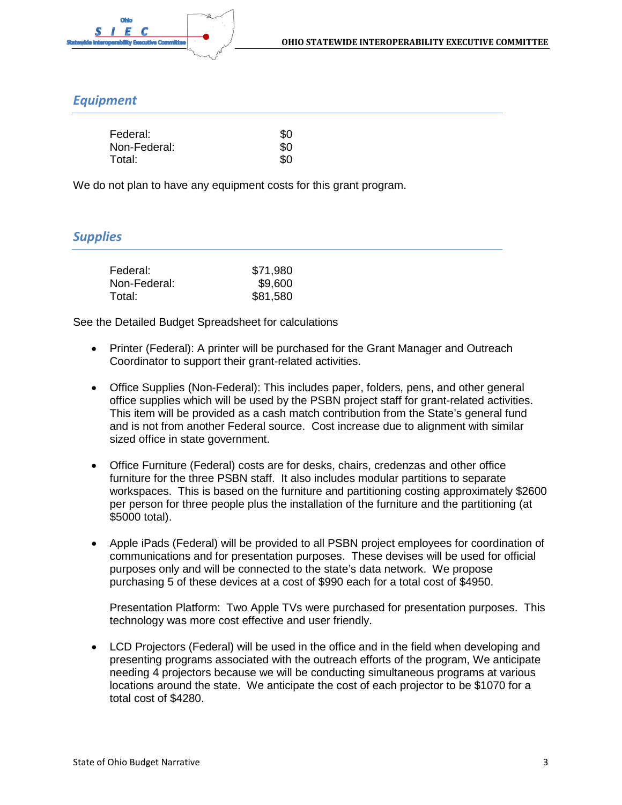

### *Equipment*

| Federal:     | \$O |
|--------------|-----|
| Non-Federal: | \$0 |
| Total:       | \$O |

We do not plan to have any equipment costs for this grant program.

### *Supplies*

| Federal:     | \$71,980 |
|--------------|----------|
| Non-Federal: | \$9,600  |
| Total:       | \$81,580 |

See the Detailed Budget Spreadsheet for calculations

- Printer (Federal): A printer will be purchased for the Grant Manager and Outreach Coordinator to support their grant-related activities.
- Office Supplies (Non-Federal): This includes paper, folders, pens, and other general office supplies which will be used by the PSBN project staff for grant-related activities. This item will be provided as a cash match contribution from the State's general fund and is not from another Federal source. Cost increase due to alignment with similar sized office in state government.
- Office Furniture (Federal) costs are for desks, chairs, credenzas and other office furniture for the three PSBN staff. It also includes modular partitions to separate workspaces. This is based on the furniture and partitioning costing approximately \$2600 per person for three people plus the installation of the furniture and the partitioning (at \$5000 total).
- Apple iPads (Federal) will be provided to all PSBN project employees for coordination of communications and for presentation purposes. These devises will be used for official purposes only and will be connected to the state's data network. We propose purchasing 5 of these devices at a cost of \$990 each for a total cost of \$4950.

Presentation Platform: Two Apple TVs were purchased for presentation purposes. This technology was more cost effective and user friendly.

• LCD Projectors (Federal) will be used in the office and in the field when developing and presenting programs associated with the outreach efforts of the program, We anticipate needing 4 projectors because we will be conducting simultaneous programs at various locations around the state. We anticipate the cost of each projector to be \$1070 for a total cost of \$4280.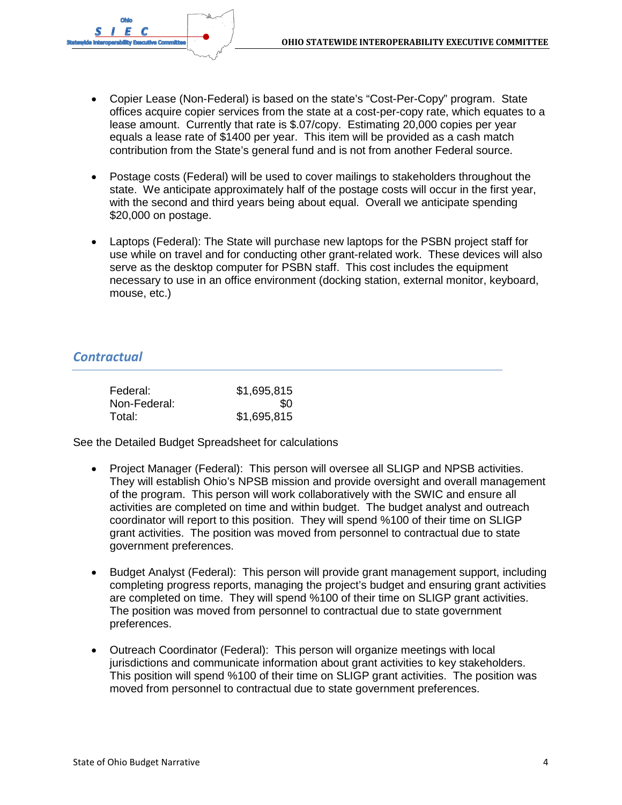

- Copier Lease (Non-Federal) is based on the state's "Cost-Per-Copy" program. State offices acquire copier services from the state at a cost-per-copy rate, which equates to a lease amount. Currently that rate is \$.07/copy. Estimating 20,000 copies per year equals a lease rate of \$1400 per year. This item will be provided as a cash match contribution from the State's general fund and is not from another Federal source.
- Postage costs (Federal) will be used to cover mailings to stakeholders throughout the state. We anticipate approximately half of the postage costs will occur in the first year, with the second and third years being about equal. Overall we anticipate spending \$20,000 on postage.
- Laptops (Federal): The State will purchase new laptops for the PSBN project staff for use while on travel and for conducting other grant-related work. These devices will also serve as the desktop computer for PSBN staff. This cost includes the equipment necessary to use in an office environment (docking station, external monitor, keyboard, mouse, etc.)

### *Contractual*

| Federal:     | \$1,695,815 |
|--------------|-------------|
| Non-Federal: | \$O         |
| Total:       | \$1,695,815 |

See the Detailed Budget Spreadsheet for calculations

- Project Manager (Federal): This person will oversee all SLIGP and NPSB activities. They will establish Ohio's NPSB mission and provide oversight and overall management of the program. This person will work collaboratively with the SWIC and ensure all activities are completed on time and within budget. The budget analyst and outreach coordinator will report to this position. They will spend %100 of their time on SLIGP grant activities. The position was moved from personnel to contractual due to state government preferences.
- Budget Analyst (Federal): This person will provide grant management support, including completing progress reports, managing the project's budget and ensuring grant activities are completed on time. They will spend %100 of their time on SLIGP grant activities. The position was moved from personnel to contractual due to state government preferences.
- Outreach Coordinator (Federal): This person will organize meetings with local jurisdictions and communicate information about grant activities to key stakeholders. This position will spend %100 of their time on SLIGP grant activities. The position was moved from personnel to contractual due to state government preferences.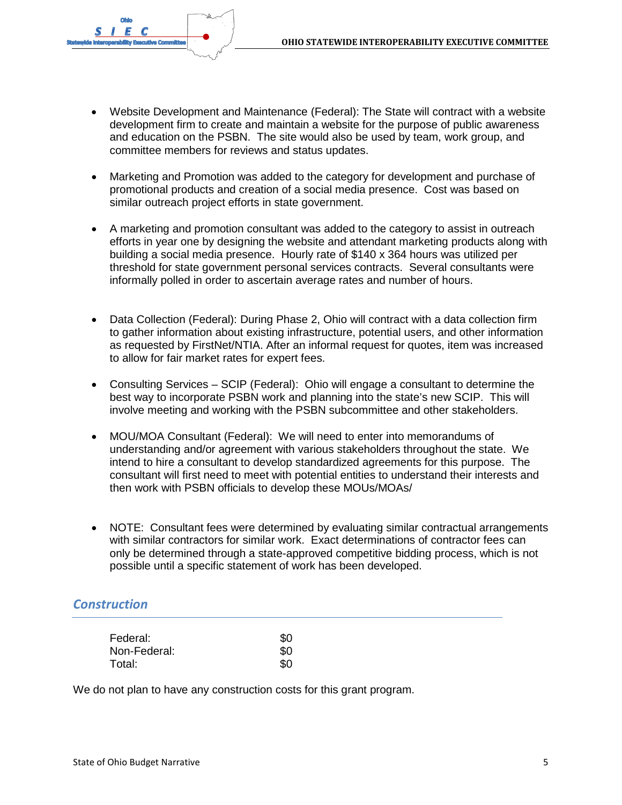

- Website Development and Maintenance (Federal): The State will contract with a website development firm to create and maintain a website for the purpose of public awareness and education on the PSBN. The site would also be used by team, work group, and committee members for reviews and status updates.
- Marketing and Promotion was added to the category for development and purchase of promotional products and creation of a social media presence. Cost was based on similar outreach project efforts in state government.
- A marketing and promotion consultant was added to the category to assist in outreach efforts in year one by designing the website and attendant marketing products along with building a social media presence. Hourly rate of \$140 x 364 hours was utilized per threshold for state government personal services contracts. Several consultants were informally polled in order to ascertain average rates and number of hours.
- Data Collection (Federal): During Phase 2, Ohio will contract with a data collection firm to gather information about existing infrastructure, potential users, and other information as requested by FirstNet/NTIA. After an informal request for quotes, item was increased to allow for fair market rates for expert fees.
- Consulting Services SCIP (Federal): Ohio will engage a consultant to determine the best way to incorporate PSBN work and planning into the state's new SCIP. This will involve meeting and working with the PSBN subcommittee and other stakeholders.
- MOU/MOA Consultant (Federal): We will need to enter into memorandums of understanding and/or agreement with various stakeholders throughout the state. We intend to hire a consultant to develop standardized agreements for this purpose. The consultant will first need to meet with potential entities to understand their interests and then work with PSBN officials to develop these MOUs/MOAs/
- NOTE: Consultant fees were determined by evaluating similar contractual arrangements with similar contractors for similar work. Exact determinations of contractor fees can only be determined through a state-approved competitive bidding process, which is not possible until a specific statement of work has been developed.

# *Construction*

| Federal:     | \$0 |
|--------------|-----|
| Non-Federal: | \$0 |
| Total:       | \$0 |

We do not plan to have any construction costs for this grant program.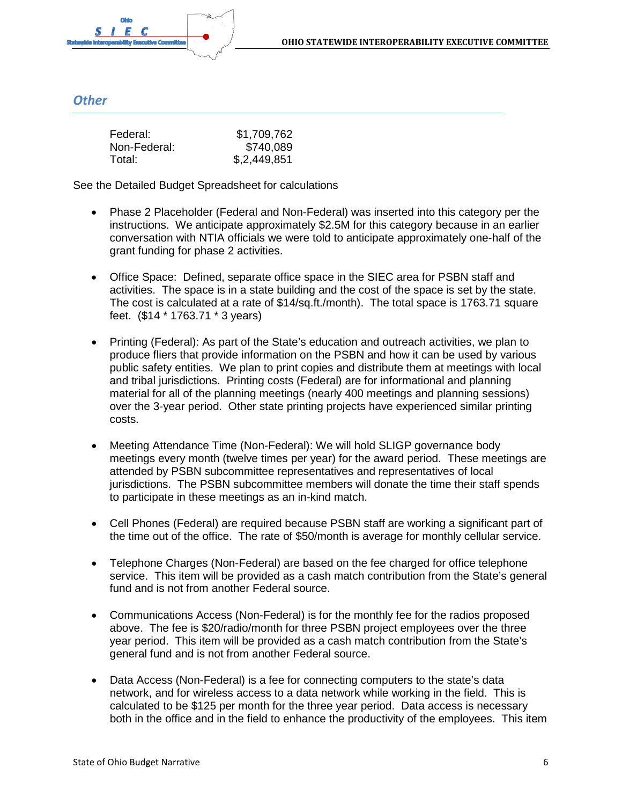

## *Other*

| Federal:     | \$1,709,762  |
|--------------|--------------|
| Non-Federal: | \$740,089    |
| Total:       | \$,2,449,851 |

See the Detailed Budget Spreadsheet for calculations

- Phase 2 Placeholder (Federal and Non-Federal) was inserted into this category per the instructions. We anticipate approximately \$2.5M for this category because in an earlier conversation with NTIA officials we were told to anticipate approximately one-half of the grant funding for phase 2 activities.
- Office Space: Defined, separate office space in the SIEC area for PSBN staff and activities. The space is in a state building and the cost of the space is set by the state. The cost is calculated at a rate of \$14/sq.ft./month). The total space is 1763.71 square feet. (\$14 \* 1763.71 \* 3 years)
- Printing (Federal): As part of the State's education and outreach activities, we plan to produce fliers that provide information on the PSBN and how it can be used by various public safety entities. We plan to print copies and distribute them at meetings with local and tribal jurisdictions. Printing costs (Federal) are for informational and planning material for all of the planning meetings (nearly 400 meetings and planning sessions) over the 3-year period. Other state printing projects have experienced similar printing costs.
- Meeting Attendance Time (Non-Federal): We will hold SLIGP governance body meetings every month (twelve times per year) for the award period. These meetings are attended by PSBN subcommittee representatives and representatives of local jurisdictions. The PSBN subcommittee members will donate the time their staff spends to participate in these meetings as an in-kind match.
- Cell Phones (Federal) are required because PSBN staff are working a significant part of the time out of the office. The rate of \$50/month is average for monthly cellular service.
- Telephone Charges (Non-Federal) are based on the fee charged for office telephone service. This item will be provided as a cash match contribution from the State's general fund and is not from another Federal source.
- Communications Access (Non-Federal) is for the monthly fee for the radios proposed above. The fee is \$20/radio/month for three PSBN project employees over the three year period. This item will be provided as a cash match contribution from the State's general fund and is not from another Federal source.
- Data Access (Non-Federal) is a fee for connecting computers to the state's data network, and for wireless access to a data network while working in the field. This is calculated to be \$125 per month for the three year period. Data access is necessary both in the office and in the field to enhance the productivity of the employees. This item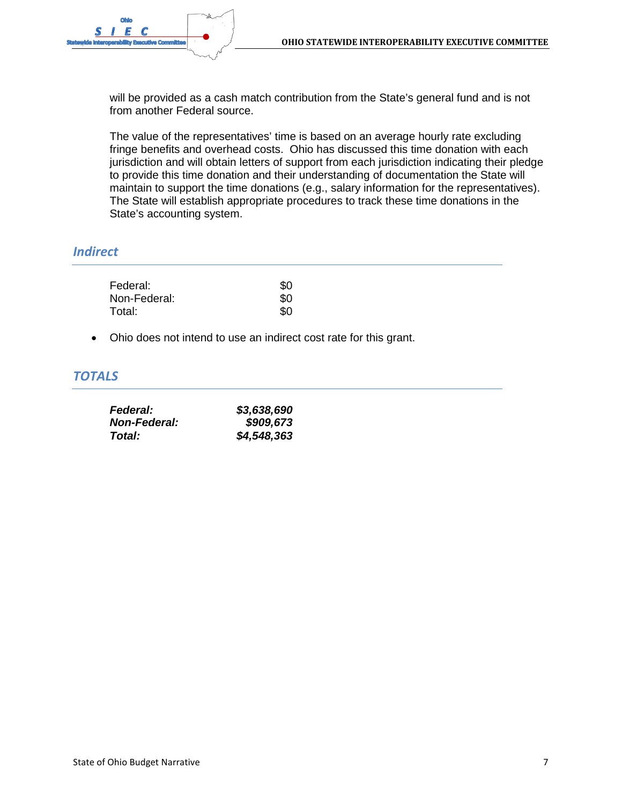

will be provided as a cash match contribution from the State's general fund and is not from another Federal source.

The value of the representatives' time is based on an average hourly rate excluding fringe benefits and overhead costs. Ohio has discussed this time donation with each jurisdiction and will obtain letters of support from each jurisdiction indicating their pledge to provide this time donation and their understanding of documentation the State will maintain to support the time donations (e.g., salary information for the representatives). The State will establish appropriate procedures to track these time donations in the State's accounting system.

# *Indirect*

| Federal:     | \$O |
|--------------|-----|
| Non-Federal: | \$0 |
| Total:       | \$O |

• Ohio does not intend to use an indirect cost rate for this grant.

#### *TOTALS*

| <i><b>Federal:</b></i> | \$3,638,690 |
|------------------------|-------------|
| <b>Non-Federal:</b>    | \$909,673   |
| Total:                 | \$4,548,363 |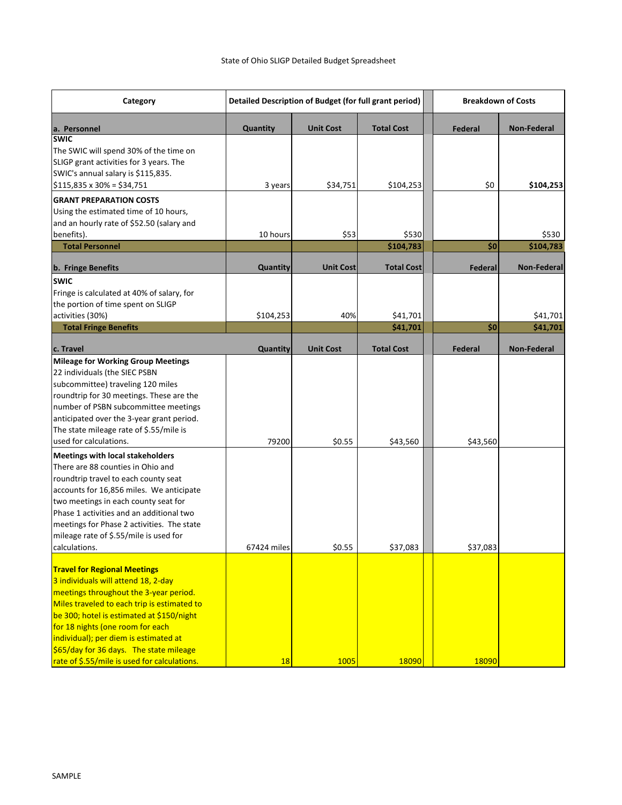| Category                                                                                                                                                                                                                                                                                                                                                                                                                                                                                  | Detailed Description of Budget (for full grant period) |                  | <b>Breakdown of Costs</b> |          |                      |
|-------------------------------------------------------------------------------------------------------------------------------------------------------------------------------------------------------------------------------------------------------------------------------------------------------------------------------------------------------------------------------------------------------------------------------------------------------------------------------------------|--------------------------------------------------------|------------------|---------------------------|----------|----------------------|
| a. Personnel                                                                                                                                                                                                                                                                                                                                                                                                                                                                              | Quantity                                               | <b>Unit Cost</b> | <b>Total Cost</b>         | Federal  | <b>Non-Federal</b>   |
| <b>SWIC</b><br>The SWIC will spend 30% of the time on<br>SLIGP grant activities for 3 years. The<br>SWIC's annual salary is \$115,835.<br>$$115,835 \times 30\% = $34,751$                                                                                                                                                                                                                                                                                                                | 3 years                                                | \$34,751         | \$104,253                 | \$0      | \$104,253            |
| <b>GRANT PREPARATION COSTS</b><br>Using the estimated time of 10 hours,<br>and an hourly rate of \$52.50 (salary and                                                                                                                                                                                                                                                                                                                                                                      |                                                        |                  |                           |          |                      |
| benefits).                                                                                                                                                                                                                                                                                                                                                                                                                                                                                | 10 hours                                               | \$53             | \$530                     |          | \$530                |
| <b>Total Personnel</b>                                                                                                                                                                                                                                                                                                                                                                                                                                                                    |                                                        |                  | \$104,783                 | \$0      | \$104,783            |
| <b>b.</b> Fringe Benefits                                                                                                                                                                                                                                                                                                                                                                                                                                                                 | Quantity                                               | <b>Unit Cost</b> | <b>Total Cost</b>         | Federal  | <b>Non-Federal</b>   |
| <b>SWIC</b><br>Fringe is calculated at 40% of salary, for<br>the portion of time spent on SLIGP<br>activities (30%)<br><b>Total Fringe Benefits</b>                                                                                                                                                                                                                                                                                                                                       | \$104,253                                              | 40%              | \$41,701<br>\$41,701      | \$0      | \$41,701<br>\$41,701 |
| c. Travel                                                                                                                                                                                                                                                                                                                                                                                                                                                                                 | Quantity                                               | <b>Unit Cost</b> | <b>Total Cost</b>         | Federal  | <b>Non-Federal</b>   |
| <b>Mileage for Working Group Meetings</b><br>22 individuals (the SIEC PSBN<br>subcommittee) traveling 120 miles<br>roundtrip for 30 meetings. These are the<br>number of PSBN subcommittee meetings<br>anticipated over the 3-year grant period.<br>The state mileage rate of \$.55/mile is<br>used for calculations.<br><b>Meetings with local stakeholders</b><br>There are 88 counties in Ohio and<br>roundtrip travel to each county seat<br>accounts for 16,856 miles. We anticipate | 79200                                                  | \$0.55           | \$43,560                  | \$43,560 |                      |
| two meetings in each county seat for<br>Phase 1 activities and an additional two<br>meetings for Phase 2 activities. The state<br>mileage rate of \$.55/mile is used for<br>calculations.                                                                                                                                                                                                                                                                                                 | 67424 miles                                            | \$0.55           | \$37,083                  | \$37,083 |                      |
| <b>Travel for Regional Meetings</b><br>3 individuals will attend 18, 2-day<br>meetings throughout the 3-year period.<br>Miles traveled to each trip is estimated to<br>be 300; hotel is estimated at \$150/night<br>for 18 nights (one room for each<br>individual); per diem is estimated at<br>\$65/day for 36 days. The state mileage<br>rate of \$.55/mile is used for calculations.                                                                                                  | 18                                                     | 1005             | 18090                     | 18090    |                      |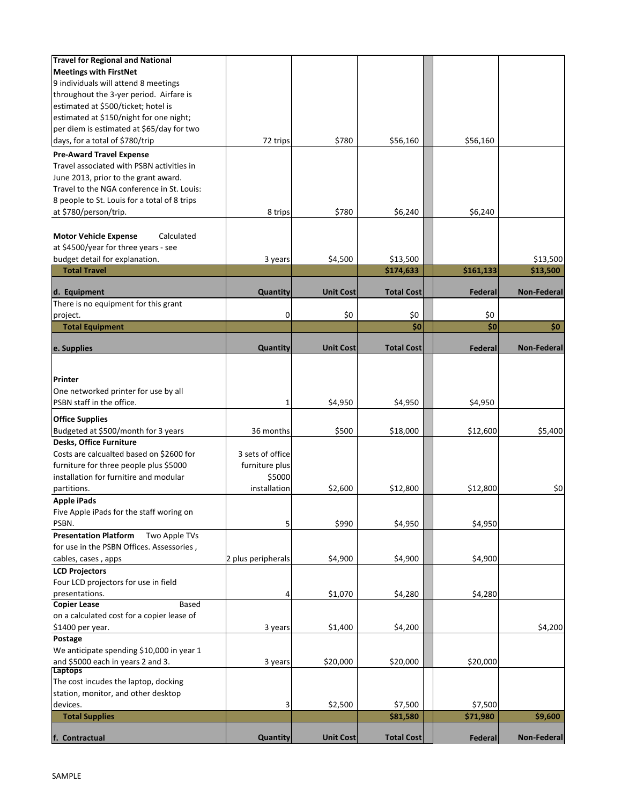| furniture for three people plus \$5000<br>installation for furnitire and modular<br>partitions.<br><b>Apple iPads</b><br>Five Apple iPads for the staff woring on<br>PSBN.<br>Two Apple TVs<br>for use in the PSBN Offices. Assessories,<br>cables, cases, apps<br>Four LCD projectors for use in field<br>presentations.<br>Based<br>on a calculated cost for a copier lease of | furniture plus<br>\$5000<br>installation<br>5<br>2 plus peripherals<br>4 | \$2,600<br>\$990<br>\$4,900<br>\$1,070 | \$12,800<br>\$4,950<br>\$4,900<br>\$4,280 | \$12,800<br>\$4,950<br>\$4,900<br>\$4,280 | \$0                |
|----------------------------------------------------------------------------------------------------------------------------------------------------------------------------------------------------------------------------------------------------------------------------------------------------------------------------------------------------------------------------------|--------------------------------------------------------------------------|----------------------------------------|-------------------------------------------|-------------------------------------------|--------------------|
| <b>Presentation Platform</b><br><b>LCD Projectors</b><br><b>Copier Lease</b>                                                                                                                                                                                                                                                                                                     |                                                                          |                                        |                                           |                                           |                    |
|                                                                                                                                                                                                                                                                                                                                                                                  |                                                                          |                                        |                                           |                                           |                    |
|                                                                                                                                                                                                                                                                                                                                                                                  |                                                                          |                                        |                                           |                                           |                    |
|                                                                                                                                                                                                                                                                                                                                                                                  |                                                                          |                                        |                                           |                                           |                    |
|                                                                                                                                                                                                                                                                                                                                                                                  |                                                                          |                                        |                                           |                                           |                    |
|                                                                                                                                                                                                                                                                                                                                                                                  |                                                                          |                                        |                                           |                                           |                    |
|                                                                                                                                                                                                                                                                                                                                                                                  |                                                                          |                                        |                                           |                                           |                    |
|                                                                                                                                                                                                                                                                                                                                                                                  |                                                                          |                                        |                                           |                                           |                    |
|                                                                                                                                                                                                                                                                                                                                                                                  |                                                                          |                                        |                                           |                                           |                    |
|                                                                                                                                                                                                                                                                                                                                                                                  |                                                                          |                                        |                                           |                                           |                    |
|                                                                                                                                                                                                                                                                                                                                                                                  |                                                                          |                                        |                                           |                                           |                    |
|                                                                                                                                                                                                                                                                                                                                                                                  |                                                                          |                                        |                                           |                                           |                    |
|                                                                                                                                                                                                                                                                                                                                                                                  |                                                                          |                                        |                                           |                                           |                    |
|                                                                                                                                                                                                                                                                                                                                                                                  |                                                                          |                                        |                                           |                                           |                    |
| Costs are calcualted based on \$2600 for                                                                                                                                                                                                                                                                                                                                         | 3 sets of office                                                         |                                        |                                           |                                           |                    |
| Desks, Office Furniture                                                                                                                                                                                                                                                                                                                                                          |                                                                          |                                        |                                           |                                           |                    |
| Budgeted at \$500/month for 3 years                                                                                                                                                                                                                                                                                                                                              | 36 months                                                                | \$500                                  | \$18,000                                  | \$12,600                                  | \$5,400            |
| <b>Office Supplies</b>                                                                                                                                                                                                                                                                                                                                                           |                                                                          |                                        |                                           |                                           |                    |
|                                                                                                                                                                                                                                                                                                                                                                                  |                                                                          |                                        |                                           |                                           |                    |
| PSBN staff in the office.                                                                                                                                                                                                                                                                                                                                                        | 1                                                                        | \$4,950                                | \$4,950                                   | \$4,950                                   |                    |
| One networked printer for use by all                                                                                                                                                                                                                                                                                                                                             |                                                                          |                                        |                                           |                                           |                    |
| Printer                                                                                                                                                                                                                                                                                                                                                                          |                                                                          |                                        |                                           |                                           |                    |
| e. Supplies                                                                                                                                                                                                                                                                                                                                                                      | Quantity                                                                 | <b>Unit Cost</b>                       | <b>Total Cost</b>                         | Federal                                   | <b>Non-Federal</b> |
|                                                                                                                                                                                                                                                                                                                                                                                  |                                                                          |                                        |                                           |                                           |                    |
| <b>Total Equipment</b>                                                                                                                                                                                                                                                                                                                                                           |                                                                          |                                        | \$0                                       | \$0                                       | \$0                |
| project.                                                                                                                                                                                                                                                                                                                                                                         | 0                                                                        | \$0                                    | \$0                                       | \$0                                       |                    |
| There is no equipment for this grant                                                                                                                                                                                                                                                                                                                                             |                                                                          |                                        |                                           |                                           |                    |
| d. Equipment                                                                                                                                                                                                                                                                                                                                                                     | Quantity                                                                 | <b>Unit Cost</b>                       | <b>Total Cost</b>                         | Federal                                   | <b>Non-Federal</b> |
|                                                                                                                                                                                                                                                                                                                                                                                  |                                                                          |                                        |                                           | \$161,133                                 | \$13,500           |
| <b>Total Travel</b>                                                                                                                                                                                                                                                                                                                                                              | 3 years                                                                  | \$4,500                                | \$13,500<br>\$174,633                     |                                           |                    |
| at \$4500/year for three years - see<br>budget detail for explanation.                                                                                                                                                                                                                                                                                                           |                                                                          |                                        |                                           |                                           | \$13,500           |
| Calculated<br><b>Motor Vehicle Expense</b>                                                                                                                                                                                                                                                                                                                                       |                                                                          |                                        |                                           |                                           |                    |
|                                                                                                                                                                                                                                                                                                                                                                                  |                                                                          |                                        |                                           |                                           |                    |
| at \$780/person/trip.                                                                                                                                                                                                                                                                                                                                                            | 8 trips                                                                  | \$780                                  | \$6,240                                   | \$6,240                                   |                    |
| 8 people to St. Louis for a total of 8 trips                                                                                                                                                                                                                                                                                                                                     |                                                                          |                                        |                                           |                                           |                    |
| Travel to the NGA conference in St. Louis:                                                                                                                                                                                                                                                                                                                                       |                                                                          |                                        |                                           |                                           |                    |
| June 2013, prior to the grant award.                                                                                                                                                                                                                                                                                                                                             |                                                                          |                                        |                                           |                                           |                    |
|                                                                                                                                                                                                                                                                                                                                                                                  |                                                                          |                                        |                                           |                                           |                    |
| Travel associated with PSBN activities in                                                                                                                                                                                                                                                                                                                                        |                                                                          |                                        |                                           |                                           |                    |
| <b>Pre-Award Travel Expense</b>                                                                                                                                                                                                                                                                                                                                                  |                                                                          |                                        |                                           |                                           |                    |
| days, for a total of \$780/trip                                                                                                                                                                                                                                                                                                                                                  | 72 trips                                                                 | \$780                                  | \$56,160                                  | \$56,160                                  |                    |
| per diem is estimated at \$65/day for two                                                                                                                                                                                                                                                                                                                                        |                                                                          |                                        |                                           |                                           |                    |
| estimated at \$150/night for one night;                                                                                                                                                                                                                                                                                                                                          |                                                                          |                                        |                                           |                                           |                    |
| estimated at \$500/ticket; hotel is                                                                                                                                                                                                                                                                                                                                              |                                                                          |                                        |                                           |                                           |                    |
| throughout the 3-yer period. Airfare is                                                                                                                                                                                                                                                                                                                                          |                                                                          |                                        |                                           |                                           |                    |
| 9 individuals will attend 8 meetings                                                                                                                                                                                                                                                                                                                                             |                                                                          |                                        |                                           |                                           |                    |
|                                                                                                                                                                                                                                                                                                                                                                                  |                                                                          |                                        |                                           |                                           |                    |
| <b>Travel for Regional and National</b><br><b>Meetings with FirstNet</b>                                                                                                                                                                                                                                                                                                         |                                                                          |                                        |                                           |                                           |                    |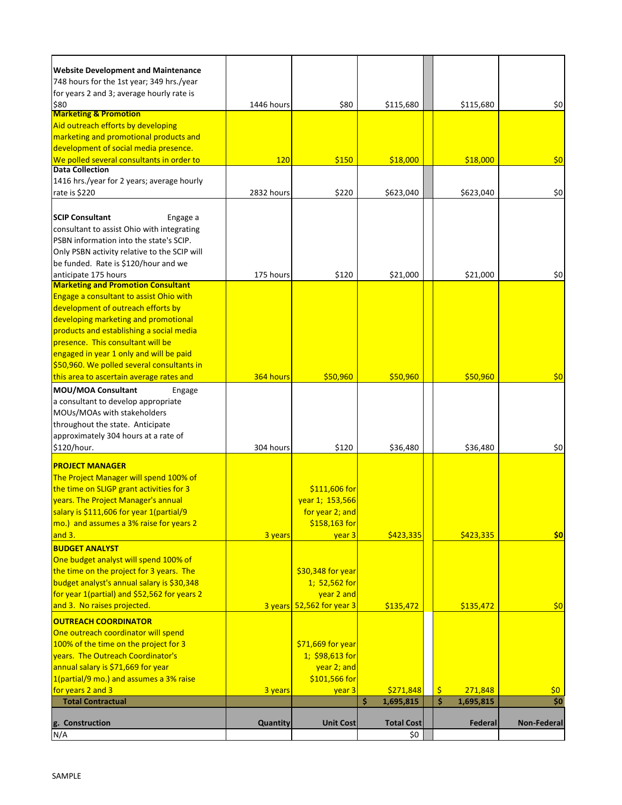| <b>Website Development and Maintenance</b>                                             |            |                           |                   |                 |                    |
|----------------------------------------------------------------------------------------|------------|---------------------------|-------------------|-----------------|--------------------|
| 748 hours for the 1st year; 349 hrs./year<br>for years 2 and 3; average hourly rate is |            |                           |                   |                 |                    |
| \$80                                                                                   | 1446 hours | \$80                      | \$115,680         | \$115,680       | \$0                |
| <b>Marketing &amp; Promotion</b>                                                       |            |                           |                   |                 |                    |
| Aid outreach efforts by developing                                                     |            |                           |                   |                 |                    |
| marketing and promotional products and                                                 |            |                           |                   |                 |                    |
| development of social media presence.                                                  |            |                           |                   |                 |                    |
| We polled several consultants in order to                                              | 120        | \$150                     | \$18,000          | \$18,000        | \$0                |
| <b>Data Collection</b>                                                                 |            |                           |                   |                 |                    |
| 1416 hrs./year for 2 years; average hourly                                             |            |                           |                   |                 |                    |
| rate is \$220                                                                          | 2832 hours | \$220                     | \$623,040         | \$623,040       | \$0                |
| <b>SCIP Consultant</b>                                                                 |            |                           |                   |                 |                    |
| Engage a                                                                               |            |                           |                   |                 |                    |
| consultant to assist Ohio with integrating                                             |            |                           |                   |                 |                    |
| PSBN information into the state's SCIP.                                                |            |                           |                   |                 |                    |
| Only PSBN activity relative to the SCIP will                                           |            |                           |                   |                 |                    |
| be funded. Rate is \$120/hour and we                                                   |            |                           |                   |                 |                    |
| anticipate 175 hours                                                                   | 175 hours  | \$120                     | \$21,000          | \$21,000        | \$0                |
| <b>Marketing and Promotion Consultant</b>                                              |            |                           |                   |                 |                    |
| Engage a consultant to assist Ohio with                                                |            |                           |                   |                 |                    |
| development of outreach efforts by                                                     |            |                           |                   |                 |                    |
| developing marketing and promotional                                                   |            |                           |                   |                 |                    |
| products and establishing a social media                                               |            |                           |                   |                 |                    |
| presence. This consultant will be                                                      |            |                           |                   |                 |                    |
| engaged in year 1 only and will be paid                                                |            |                           |                   |                 |                    |
| \$50,960. We polled several consultants in                                             |            |                           |                   |                 |                    |
| this area to ascertain average rates and                                               | 364 hours  | \$50,960                  | \$50,960          | \$50,960        | \$0                |
| <b>MOU/MOA Consultant</b><br>Engage                                                    |            |                           |                   |                 |                    |
| a consultant to develop appropriate                                                    |            |                           |                   |                 |                    |
| MOUs/MOAs with stakeholders                                                            |            |                           |                   |                 |                    |
|                                                                                        |            |                           |                   |                 |                    |
| throughout the state. Anticipate                                                       |            |                           |                   |                 |                    |
| approximately 304 hours at a rate of                                                   |            |                           |                   |                 |                    |
| \$120/hour.                                                                            | 304 hours  | \$120                     | \$36,480          | \$36,480        | \$0                |
| <b>PROJECT MANAGER</b>                                                                 |            |                           |                   |                 |                    |
| The Project Manager will spend 100% of                                                 |            |                           |                   |                 |                    |
| the time on SLIGP grant activities for 3                                               |            | \$111,606 for             |                   |                 |                    |
| years. The Project Manager's annual                                                    |            | year 1; 153,566           |                   |                 |                    |
| salary is \$111,606 for year 1(partial/9                                               |            |                           |                   |                 |                    |
|                                                                                        |            | for year 2; and           |                   |                 |                    |
| mo.) and assumes a 3% raise for years 2                                                |            | \$158,163 for             |                   |                 |                    |
| and 3.                                                                                 | 3 years    | year 3                    | \$423,335         | \$423,335       | \$0                |
| <b>BUDGET ANALYST</b>                                                                  |            |                           |                   |                 |                    |
| One budget analyst will spend 100% of                                                  |            |                           |                   |                 |                    |
| the time on the project for 3 years. The                                               |            | \$30,348 for year         |                   |                 |                    |
| budget analyst's annual salary is \$30,348                                             |            | 1; 52,562 for             |                   |                 |                    |
| for year 1(partial) and \$52,562 for years 2                                           |            | year 2 and                |                   |                 |                    |
| and 3. No raises projected.                                                            |            | 3 years 52,562 for year 3 | \$135,472         | \$135,472       | \$0                |
| <b>OUTREACH COORDINATOR</b>                                                            |            |                           |                   |                 |                    |
| One outreach coordinator will spend                                                    |            |                           |                   |                 |                    |
| 100% of the time on the project for 3                                                  |            | \$71,669 for year         |                   |                 |                    |
| years. The Outreach Coordinator's                                                      |            | $1; $98,613$ for          |                   |                 |                    |
| annual salary is \$71,669 for year                                                     |            | year 2; and               |                   |                 |                    |
| 1(partial/9 mo.) and assumes a 3% raise                                                |            | \$101,566 for             |                   |                 |                    |
| for years 2 and 3                                                                      | 3 years    | year 3                    | \$271,848         | \$<br>271,848   | \$0                |
| <b>Total Contractual</b>                                                               |            |                           | \$.<br>1,695,815  | \$<br>1,695,815 | \$0                |
|                                                                                        |            |                           |                   |                 |                    |
| g. Construction                                                                        | Quantity   | <b>Unit Cost</b>          | <b>Total Cost</b> | Federal         | <b>Non-Federal</b> |
| N/A                                                                                    |            |                           | \$0               |                 |                    |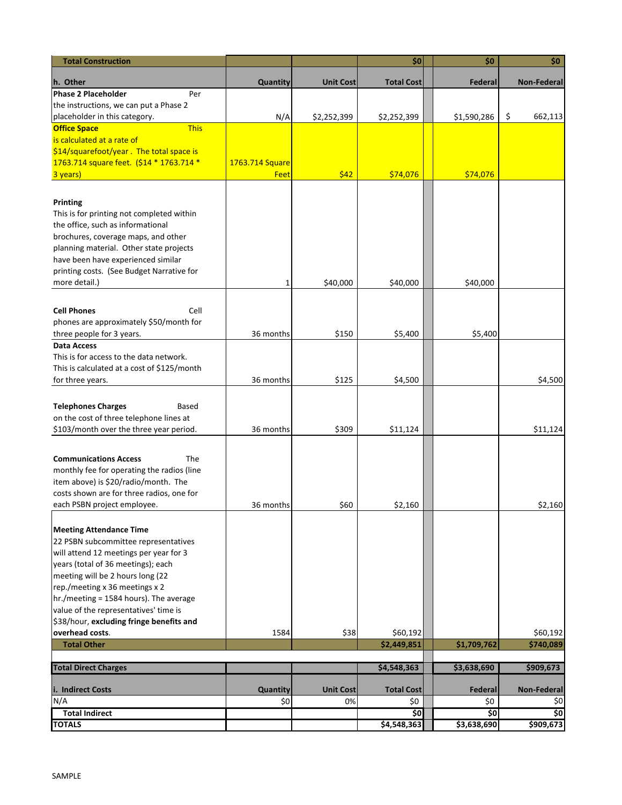| <b>Total Construction</b>                                                |                 |                  | \$0                | \$0                | \$0                |
|--------------------------------------------------------------------------|-----------------|------------------|--------------------|--------------------|--------------------|
| h. Other                                                                 | Quantity        | <b>Unit Cost</b> | <b>Total Cost</b>  | Federal            | <b>Non-Federal</b> |
| <b>Phase 2 Placeholder</b><br>Per                                        |                 |                  |                    |                    |                    |
| the instructions, we can put a Phase 2                                   |                 |                  |                    |                    |                    |
| placeholder in this category.                                            | N/A             | \$2,252,399      | \$2,252,399        | \$1,590,286        | \$<br>662,113      |
| <b>This</b><br><b>Office Space</b>                                       |                 |                  |                    |                    |                    |
| is calculated at a rate of                                               |                 |                  |                    |                    |                    |
| \$14/squarefoot/year. The total space is                                 |                 |                  |                    |                    |                    |
| 1763.714 square feet. (\$14 * 1763.714 *                                 | 1763.714 Square |                  |                    |                    |                    |
| 3 years)                                                                 | Feet            | \$42             | \$74,076           | \$74,076           |                    |
| <b>Printing</b>                                                          |                 |                  |                    |                    |                    |
| This is for printing not completed within                                |                 |                  |                    |                    |                    |
| the office, such as informational                                        |                 |                  |                    |                    |                    |
| brochures, coverage maps, and other                                      |                 |                  |                    |                    |                    |
| planning material. Other state projects                                  |                 |                  |                    |                    |                    |
| have been have experienced similar                                       |                 |                  |                    |                    |                    |
| printing costs. (See Budget Narrative for                                |                 |                  |                    |                    |                    |
| more detail.)                                                            | 1               | \$40,000         | \$40,000           | \$40,000           |                    |
|                                                                          |                 |                  |                    |                    |                    |
| <b>Cell Phones</b><br>Cell                                               |                 |                  |                    |                    |                    |
| phones are approximately \$50/month for                                  |                 |                  |                    |                    |                    |
| three people for 3 years.                                                | 36 months       | \$150            | \$5,400            | \$5,400            |                    |
| Data Access                                                              |                 |                  |                    |                    |                    |
| This is for access to the data network.                                  |                 |                  |                    |                    |                    |
| This is calculated at a cost of \$125/month                              |                 |                  |                    |                    |                    |
| for three years.                                                         | 36 months       | \$125            | \$4,500            |                    | \$4,500            |
| <b>Telephones Charges</b><br>Based                                       |                 |                  |                    |                    |                    |
| on the cost of three telephone lines at                                  |                 |                  |                    |                    |                    |
| \$103/month over the three year period.                                  | 36 months       | \$309            | \$11,124           |                    | \$11,124           |
|                                                                          |                 |                  |                    |                    |                    |
| The<br><b>Communications Access</b>                                      |                 |                  |                    |                    |                    |
| monthly fee for operating the radios (line                               |                 |                  |                    |                    |                    |
| item above) is \$20/radio/month. The                                     |                 |                  |                    |                    |                    |
| costs shown are for three radios, one for                                |                 |                  |                    |                    |                    |
| each PSBN project employee.                                              | 36 months       | \$60             | \$2,160            |                    | \$2,160            |
|                                                                          |                 |                  |                    |                    |                    |
| <b>Meeting Attendance Time</b>                                           |                 |                  |                    |                    |                    |
| 22 PSBN subcommittee representatives                                     |                 |                  |                    |                    |                    |
| will attend 12 meetings per year for 3                                   |                 |                  |                    |                    |                    |
| years (total of 36 meetings); each                                       |                 |                  |                    |                    |                    |
| meeting will be 2 hours long (22                                         |                 |                  |                    |                    |                    |
| rep./meeting x 36 meetings x 2<br>hr./meeting = 1584 hours). The average |                 |                  |                    |                    |                    |
| value of the representatives' time is                                    |                 |                  |                    |                    |                    |
| \$38/hour, excluding fringe benefits and                                 |                 |                  |                    |                    |                    |
| overhead costs.                                                          | 1584            | \$38             | \$60,192           |                    | \$60,192           |
| <b>Total Other</b>                                                       |                 |                  | \$2,449,851        | \$1,709,762        | \$740,089          |
| <b>Total Direct Charges</b>                                              |                 |                  |                    |                    | \$909,673          |
|                                                                          |                 |                  | \$4,548,363        | \$3,638,690        |                    |
| i. Indirect Costs                                                        | Quantity        | <b>Unit Cost</b> | <b>Total Cost</b>  | Federal            | <b>Non-Federal</b> |
| N/A                                                                      | \$0             | 0%               | \$0                | \$0                | \$0                |
| <b>Total Indirect</b><br><b>TOTALS</b>                                   |                 |                  | \$0<br>\$4,548,363 | \$0<br>\$3,638,690 | \$0<br>\$909,673   |
|                                                                          |                 |                  |                    |                    |                    |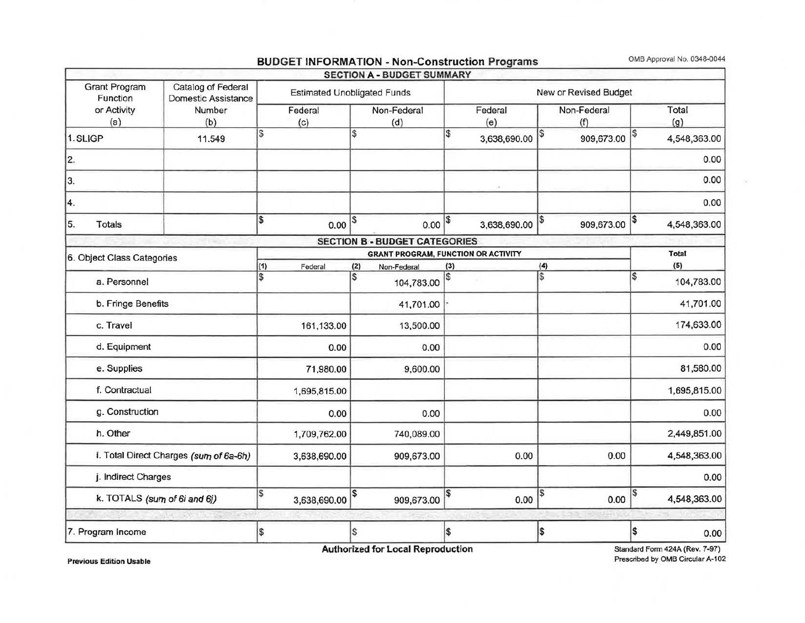|                                                                                                                      |                                        |                                    |              |                    | <b>SECTION A - BUDGET SUMMARY</b>          |                       |              |                    |            |     |              |
|----------------------------------------------------------------------------------------------------------------------|----------------------------------------|------------------------------------|--------------|--------------------|--------------------------------------------|-----------------------|--------------|--------------------|------------|-----|--------------|
| <b>Grant Program</b><br>Catalog of Federal<br>Function<br>Domestic Assistance<br>or Activity<br>Number<br>(a)<br>(b) |                                        | <b>Estimated Unobligated Funds</b> |              |                    |                                            | New or Revised Budget |              |                    |            |     |              |
|                                                                                                                      |                                        | Federal<br>(c)                     |              | Non-Federal<br>(d) |                                            | Federal<br>(e)        |              | Non-Federal<br>(f) |            |     | Total<br>(g) |
| 1. SLIGP                                                                                                             | 11.549                                 | S                                  |              | l\$                |                                            | 5                     | 3,638,690.00 | \$                 | 909,673.00 |     | 4,548,363.00 |
| 2.                                                                                                                   |                                        |                                    |              |                    |                                            |                       |              |                    |            |     | 0.00         |
| 3.                                                                                                                   |                                        |                                    |              |                    |                                            |                       | G.           |                    |            |     | 0.00         |
| 4.                                                                                                                   |                                        |                                    |              |                    |                                            |                       |              |                    |            |     | 0.00         |
| 5.<br><b>Totals</b>                                                                                                  |                                        | \$                                 | 0.00         | \$                 | 0.00                                       | \$                    | 3,638,690.00 | \$                 | 909,673.00 |     | 4,548,363.00 |
|                                                                                                                      |                                        |                                    |              |                    | <b>SECTION B - BUDGET CATEGORIES</b>       |                       |              |                    |            |     |              |
| 6. Object Class Categories                                                                                           |                                        |                                    |              |                    | <b>GRANT PROGRAM, FUNCTION OR ACTIVITY</b> |                       |              |                    |            |     | <b>Total</b> |
|                                                                                                                      |                                        | (1)<br>\$                          | Federal      | (2)<br>l\$         | Non-Federal                                | (3)<br>S)             |              | (4)<br>\$          |            | l\$ | (5)          |
| a. Personnel                                                                                                         |                                        |                                    |              |                    | 104,783.00                                 |                       |              |                    |            |     | 104,783.00   |
| b. Fringe Benefits                                                                                                   |                                        |                                    |              |                    | 41,701.00                                  |                       |              |                    |            |     | 41,701.00    |
| c. Travel                                                                                                            |                                        |                                    | 161,133.00   |                    | 13,500.00                                  |                       |              |                    |            |     | 174,633.00   |
| d. Equipment                                                                                                         |                                        |                                    | 0.00         |                    | 0.00                                       |                       |              |                    |            |     | 0.00         |
| e. Supplies                                                                                                          |                                        |                                    | 71,980.00    |                    | 9,600.00                                   |                       |              |                    |            |     | 81,580.00    |
| f. Contractual                                                                                                       |                                        |                                    | 1,695,815.00 |                    |                                            |                       |              |                    |            |     | 1,695,815.00 |
| g. Construction                                                                                                      |                                        |                                    | 0.00         |                    | 0.00                                       |                       |              |                    |            |     | 0.00         |
| h. Other                                                                                                             |                                        |                                    | 1,709,762.00 |                    | 740,089.00                                 |                       |              |                    |            |     | 2,449,851.00 |
|                                                                                                                      | i. Total Direct Charges (sum of 6a-6h) |                                    | 3,638,690.00 |                    | 909,673.00                                 |                       | 0.00         |                    | 0.00       |     | 4,548,363.00 |
| j. Indirect Charges                                                                                                  |                                        |                                    |              |                    |                                            |                       |              |                    |            |     | 0.00         |
| k. TOTALS (sum of 6i and 6j)                                                                                         |                                        | S                                  | 3,638,690.00 | \$                 | 909,673.00                                 | \$                    | 0.00         | \$                 | 0.00       |     | 4,548,363.00 |
| 7. Program Income                                                                                                    |                                        | \$                                 |              | S,                 |                                            | \$                    |              | 5                  |            | \$  | 0.00         |

#### BUDGET INFORMATION - Non-Construction Programs OMB Approval No. 0348-0044

Authorized for Local Reproduction

Standard Form 424A (Rev. 7-97) Prescribed by OMB Circular A-102

Previous Edition Usable